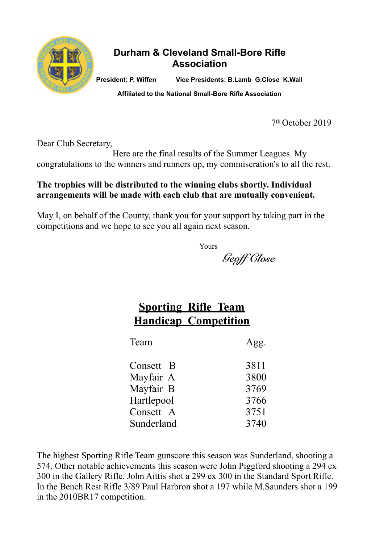

#### **Durham & Cleveland Small-Bore Rifle Association**

**President: P. Wiffen Vice Presidents: B.Lamb G.Close K.Wall** 

**Affiliated to the National Small-Bore Rifle Association**

7th October 2019

Dear Club Secretary,

 Here are the final results of the Summer Leagues. My congratulations to the winners and runners up, my commiseration's to all the rest.

#### **The trophies will be distributed to the winning clubs shortly. Individual arrangements will be made with each club that are mutually convenient.**

May I, on behalf of the County, thank you for your support by taking part in the competitions and we hope to see you all again next season.

Yours

*Geoff Close* 

#### **Sporting Rifle Team Handicap Competition**

| Team       | Agg. |
|------------|------|
| Consett B  | 3811 |
| Mayfair A  | 3800 |
| Mayfair B  | 3769 |
| Hartlepool | 3766 |
| Consett A  | 3751 |
| Sunderland | 3740 |

The highest Sporting Rifle Team gunscore this season was Sunderland, shooting a 574. Other notable achievements this season were John Piggford shooting a 294 ex 300 in the Gallery Rifle. John Aittis shot a 299 ex 300 in the Standard Sport Rifle. In the Bench Rest Rifle 3/89 Paul Harbron shot a 197 while M.Saunders shot a 199 in the 2010BR17 competition.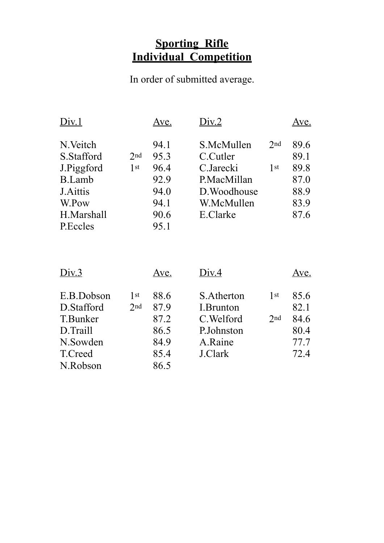#### **Sporting Rifle Individual Competition**

In order of submitted average.

| Div.1                            |                 | Ave.         | Div.2                      |                 | Ave.         |
|----------------------------------|-----------------|--------------|----------------------------|-----------------|--------------|
| N.Veitch<br>S.Stafford           | 2nd             | 94.1<br>95.3 | S.McMullen<br>C.Cutler     | 2nd             | 89.6<br>89.1 |
| J.Piggford                       | 1 <sup>st</sup> | 96.4         | C.Jarecki                  | 1 <sup>st</sup> | 89.8         |
| <b>B.Lamb</b><br><b>J.Aittis</b> |                 | 92.9<br>94.0 | P.MacMillan                |                 | 87.0<br>88.9 |
| W.Pow                            |                 | 94.1         | D. Woodhouse<br>W.McMullen |                 | 83.9         |
| H.Marshall                       |                 | 90.6         | E.Clarke                   |                 | 87.6         |
| P.Eccles                         |                 | 95.1         |                            |                 |              |

| Div.3      |     | Ave. | Div.4      |                 | Ave. |
|------------|-----|------|------------|-----------------|------|
| E.B.Dobson | 1st | 88.6 | S.Atherton | 1 <sup>st</sup> | 85.6 |
| D.Stafford | 2nd | 87.9 | I.Brunton  |                 | 82.1 |
| T.Bunker   |     | 87.2 | C. Welford | 2nd             | 84.6 |
| D.Traill   |     | 86.5 | P.Johnston |                 | 80.4 |
| N.Sowden   |     | 84.9 | A.Raine    |                 | 77.7 |
| T.Creed    |     | 85.4 | J.Clark    |                 | 72.4 |
| N.Robson   |     | 86.5 |            |                 |      |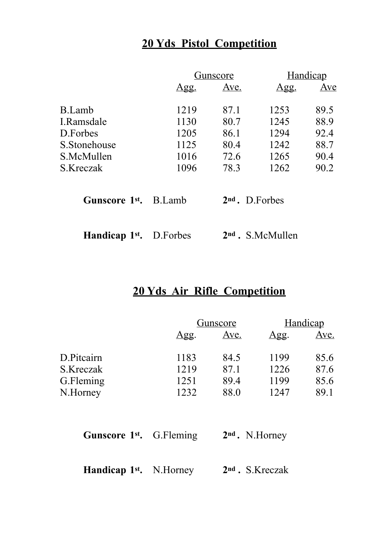# **20 Yds Pistol Competition**

|                                   |             | Gunscore |                            | Handicap |
|-----------------------------------|-------------|----------|----------------------------|----------|
|                                   | <u>Agg.</u> | Ave.     | <u>Agg.</u>                | Ave      |
| B.Lamb                            | 1219        | 87.1     | 1253                       | 89.5     |
| I.Ramsdale                        | 1130        | 80.7     | 1245                       | 88.9     |
| D. Forbes                         | 1205        | 86.1     | 1294                       | 92.4     |
| S. Stonehouse                     | 1125        | 80.4     | 1242                       | 88.7     |
| S.McMullen                        | 1016        | 72.6     | 1265                       | 90.4     |
| S.Kreczak                         | 1096        | 78.3     | 1262                       | 90.2     |
| Gunscore 1 <sup>st</sup> , B.Lamb |             |          | 2 <sup>nd</sup> . D.Forbes |          |
| Handicap 1 <sup>st</sup> .        | D.Forbes    |          | $2nd$ . S.McMullen         |          |

### **20 Yds Air Rifle Competition**

|      | <u>Gunscore</u> |            | <b>Handicap</b> |  |
|------|-----------------|------------|-----------------|--|
| Agg. | <u>Ave.</u>     | <u>Agg</u> | <u>Ave.</u>     |  |
| 1183 | 84.5            | 1199       | 85.6            |  |
| 1219 | 87.1            | 1226       | 87.6            |  |
| 1251 | 89.4            | 1199       | 85.6            |  |
| 1232 | 88.0            | 1247       | 89.1            |  |
|      |                 |            |                 |  |

| <b>Gunscore 1st.</b> G.Fleming |  | $2nd$ . N.Horney |
|--------------------------------|--|------------------|
|--------------------------------|--|------------------|

| <b>Handicap 1st.</b> N.Horney |  | 2 <sup>nd</sup> . S.Kreczak |
|-------------------------------|--|-----------------------------|
|-------------------------------|--|-----------------------------|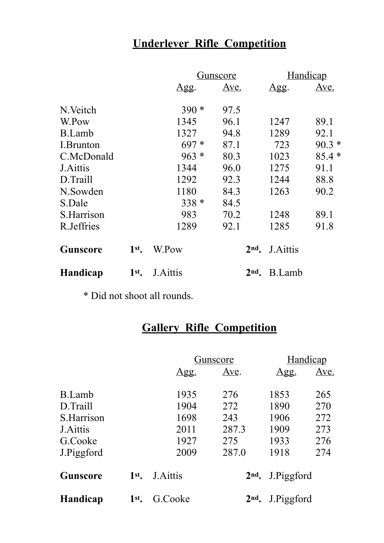# **Underlever Rifle Competition**

|                 |         | Gunscore     |                 | <b>Handicap</b>  |             |
|-----------------|---------|--------------|-----------------|------------------|-------------|
|                 |         | $\Delta$ gg. | Ave.            | <u>Agg.</u>      | <u>Ave.</u> |
| N. Veitch       |         | $390*$       | 97.5            |                  |             |
| W.Pow           |         | 1345         | 96.1            | 1247             | 89.1        |
| <b>B.Lamb</b>   |         | 1327         | 94.8            | 1289             | 92.1        |
| I.Brunton       |         | $697*$       | 87.1            | 723              | $90.3*$     |
| C.McDonald      |         | $963 *$      | 80.3            | 1023             | $85.4*$     |
| J. Aittis       |         | 1344         | 96.0            | 1275             | 91.1        |
| D.Traill        |         | 1292         | 92.3            | 1244             | 88.8        |
| N.Sowden        |         | 1180         | 84.3            | 1263             | 90.2        |
| S.Dale          |         | $338 *$      | 84.5            |                  |             |
| S.Harrison      |         | 983          | 70.2            | 1248             | 89.1        |
| R.Jeffries      |         | 1289         | 92.1            | 1285             | 91.8        |
| <b>Gunscore</b> | 1st     | W.Pow        | 2 <sub>nd</sub> | <b>J.</b> Aittis |             |
| <b>Handicap</b> | $1st$ . | J.Aittis     | 2 <sub>nd</sub> | B.Lamb           |             |

\* Did not shoot all rounds.

# **Gallery Rifle Competition**

|                  |     | <u>Gunscore</u> |                 | <b>Handicap</b> |             |
|------------------|-----|-----------------|-----------------|-----------------|-------------|
|                  |     | <u>Agg.</u>     | Ave.            | <u>Agg.</u>     | <u>Ave.</u> |
| <b>B.Lamb</b>    |     | 1935            | 276             | 1853            | 265         |
| D.Traill         |     | 1904            | 272             | 1890            | 270         |
| S.Harrison       |     | 1698            | 243             | 1906            | 272         |
| <b>J.</b> Aittis |     | 2011            | 287.3           | 1909            | 273         |
| G.Cooke          |     | 1927            | 275             | 1933            | 276         |
| J.Piggford       |     | 2009            | 287.0           | 1918            | 274         |
| Gunscore         | 1st | <b>J.Aittis</b> | $2nd$ .         | J.Piggford      |             |
| <b>Handicap</b>  | 1st | G.Cooke         | 2 <sub>nd</sub> | J.Piggford      |             |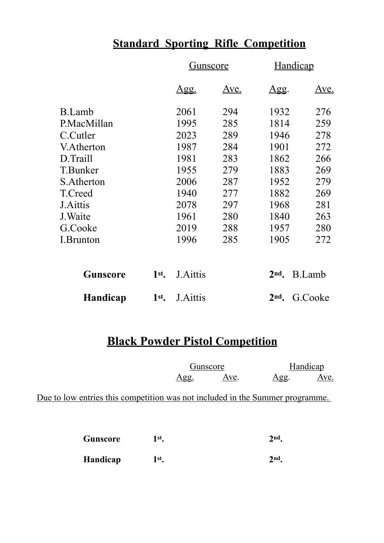## **Standard Sporting Rifle Competition**

|                 |         | <u>Gunscore</u> |             | <b>Handicap</b> |               |
|-----------------|---------|-----------------|-------------|-----------------|---------------|
|                 |         | <u>Agg.</u>     | <u>Ave.</u> | <u>Agg.</u>     | <u>Ave.</u>   |
| <b>B.Lamb</b>   |         | 2061            | 294         | 1932            | 276           |
| P.MacMillan     |         | 1995            | 285         | 1814            | 259           |
| C.Cutler        |         | 2023            | 289         | 1946            | 278           |
| V.Atherton      |         | 1987            | 284         | 1901            | 272           |
| D.Traill        |         | 1981            | 283         | 1862            | 266           |
| T.Bunker        |         | 1955            | 279         | 1883            | 269           |
| S.Atherton      |         | 2006            | 287         | 1952            | 279           |
| T.Creed         |         | 1940            | 277         | 1882            | 269           |
| <b>J.Aittis</b> |         | 2078            | 297         | 1968            | 281           |
| J. Waite        |         | 1961            | 280         | 1840            | 263           |
| G.Cooke         |         | 2019            | 288         | 1957            | 280           |
| I.Brunton       |         | 1996            | 285         | 1905            | 272           |
| <b>Gunscore</b> | $1st$ . | <b>J.Aittis</b> |             | $2nd$ .         | <b>B.Lamb</b> |
| <b>Handicap</b> | $1st$ . | J. Aittis       |             | 2 <sub>nd</sub> | G.Cooke       |

### **Black Powder Pistol Competition**

| Gunscore |      | Handicap |             |
|----------|------|----------|-------------|
| Agg.     | Ave. | Agg.     | <u>Ave.</u> |

Due to low entries this competition was not included in the Summer programme.

| Gunscore | 1st.     | 2 <sub>nd</sub> |                 |
|----------|----------|-----------------|-----------------|
|          | Handicap | 1st.            | 2 <sub>nd</sub> |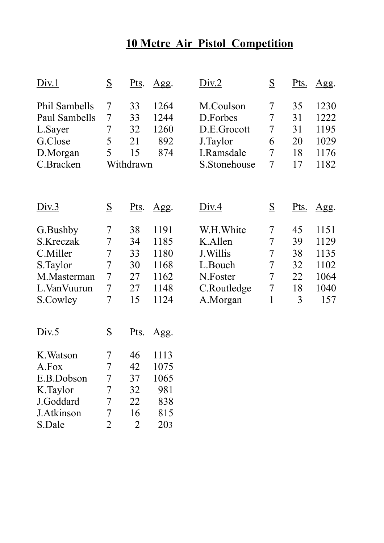# **10 Metre Air Pistol Competition**

| Div.1                                                                                     | S                                                              | <u>Pts</u> .                                       | <u>Agg.</u>                                          | Div.2                                                                                | $\overline{S}$                                                         | <u>Pts.</u>                           | Agg.                                                |
|-------------------------------------------------------------------------------------------|----------------------------------------------------------------|----------------------------------------------------|------------------------------------------------------|--------------------------------------------------------------------------------------|------------------------------------------------------------------------|---------------------------------------|-----------------------------------------------------|
| Phil Sambells<br>Paul Sambells<br>L.Sayer<br>G.Close<br>D.Morgan<br>C.Bracken             | 7<br>7<br>$\overline{7}$<br>5<br>5                             | 33<br>33<br>32<br>21<br>15<br>Withdrawn            | 1264<br>1244<br>1260<br>892<br>874                   | M.Coulson<br>D.Forbes<br>D.E.Grocott<br>J.Taylor<br>I.Ramsdale<br>S.Stonehouse       | 7<br>$\overline{7}$<br>$\overline{7}$<br>6<br>7<br>$\overline{7}$      | 35<br>31<br>31<br>20<br>18<br>17      | 1230<br>1222<br>1195<br>1029<br>1176<br>1182        |
| Div.3                                                                                     | S                                                              | <u>Pts</u> .                                       | $\Delta gg.$                                         | <u>Div.4</u>                                                                         | S                                                                      | <u>Pts.</u>                           | Agg.                                                |
| G.Bushby<br>S.Kreczak<br>C.Miller<br>S.Taylor<br>M.Masterman<br>L. Van Vuurun<br>S.Cowley | 7<br>$\overline{7}$<br>$\overline{7}$<br>7<br>$\tau$<br>7<br>7 | 38<br>34<br>33<br>30<br>27<br>27<br>15             | 1191<br>1185<br>1180<br>1168<br>1162<br>1148<br>1124 | W.H. White<br>K.Allen<br>J. Willis<br>L.Bouch<br>N.Foster<br>C.Routledge<br>A.Morgan | 7<br>7<br>$\overline{7}$<br>7<br>$\overline{7}$<br>$\overline{7}$<br>1 | 45<br>39<br>38<br>32<br>22<br>18<br>3 | 1151<br>1129<br>1135<br>1102<br>1064<br>1040<br>157 |
| Div.5                                                                                     | S                                                              | <u>Pts</u> .                                       | $\Delta gg.$                                         |                                                                                      |                                                                        |                                       |                                                     |
| K. Watson<br>A.Fox<br>E.B.Dobson<br>K.Taylor<br>J.Goddard<br>J.Atkinson<br>S.Dale         | 7<br>$\overline{7}$<br>7<br>7<br>7<br>7<br>$\overline{2}$      | 46<br>42<br>37<br>32<br>22<br>16<br>$\overline{2}$ | 1113<br>1075<br>1065<br>981<br>838<br>815<br>203     |                                                                                      |                                                                        |                                       |                                                     |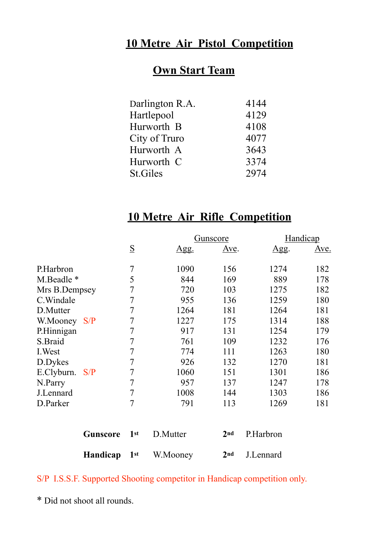### **10 Metre Air Pistol Competition**

### **Own Start Team**

| Darlington R.A. | 4144 |
|-----------------|------|
| Hartlepool      | 4129 |
| Hurworth B      | 4108 |
| City of Truro   | 4077 |
| Hurworth A      | 3643 |
| Hurworth C      | 3374 |
| <b>St.Giles</b> | 2974 |

### **10 Metre Air Rifle Competition**

|                |                 |             | Gunscore     |      | Handicap |
|----------------|-----------------|-------------|--------------|------|----------|
|                | $\underline{S}$ | <u>Agg.</u> | <u>Ave</u> . | Agg. | Ave.     |
| P.Harbron      | 7               | 1090        | 156          | 1274 | 182      |
| M.Beadle *     | 5               | 844         | 169          | 889  | 178      |
| Mrs B.Dempsey  | 7               | 720         | 103          | 1275 | 182      |
| C. Windale     | 7               | 955         | 136          | 1259 | 180      |
| D.Mutter       | 7               | 1264        | 181          | 1264 | 181      |
| W.Mooney S/P   | 7               | 1227        | 175          | 1314 | 188      |
| P.Hinnigan     | 7               | 917         | 131          | 1254 | 179      |
| S.Braid        | 7               | 761         | 109          | 1232 | 176      |
| I. West        | 7               | 774         | 111          | 1263 | 180      |
| D.Dykes        | 7               | 926         | 132          | 1270 | 181      |
| E.Clyburn. S/P | 7               | 1060        | 151          | 1301 | 186      |
| N.Parry        | 7               | 957         | 137          | 1247 | 178      |
| J.Lennard      | 7               | 1008        | 144          | 1303 | 186      |
| D.Parker       | $\overline{7}$  | 791         | 113          | 1269 | 181      |
|                |                 |             |              |      |          |

| <b>Gunscore 1st</b> D.Mutter |          | 2 <sup>nd</sup> P.Harbron |
|------------------------------|----------|---------------------------|
| Handicap 1st                 | W.Mooney | $2nd$ J. Lennard          |

### S/P I.S.S.F. Supported Shooting competitor in Handicap competition only.

\* Did not shoot all rounds.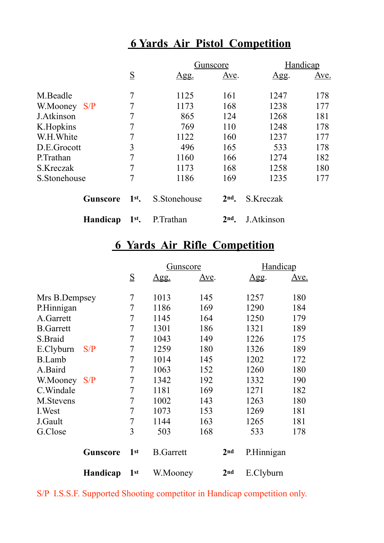# **6 Yards Air Pistol Competition**

|              |                 |         |              | Gunscore        | Handicap   |      |  |
|--------------|-----------------|---------|--------------|-----------------|------------|------|--|
|              |                 | S       | <u>Agg.</u>  | Ave.            | Agg.       | Ave. |  |
| M.Beadle     |                 | 7       | 1125         | 161             | 1247       | 178  |  |
| W.Mooney S/P |                 | 7       | 1173         | 168             | 1238       | 177  |  |
| J.Atkinson   |                 | 7       | 865          | 124             | 1268       | 181  |  |
| K.Hopkins    |                 | 7       | 769          | 110             | 1248       | 178  |  |
| W.H. White   |                 | 7       | 1122         | 160             | 1237       | 177  |  |
| D.E.Grocott  |                 | 3       | 496          | 165             | 533        | 178  |  |
| P.Trathan    |                 | 7       | 1160         | 166             | 1274       | 182  |  |
| S.Kreczak    |                 | 7       | 1173         | 168             | 1258       | 180  |  |
| S.Stonehouse |                 | 7       | 1186         | 169             | 1235       | 177  |  |
|              | <b>Gunscore</b> | $1st$ . | S.Stonehouse | 2 <sub>nd</sub> | S.Kreczak  |      |  |
|              | Handicap        | $1st$ . | P. Trathan   | 2nd             | J.Atkinson |      |  |

### **6 Yards Air Rifle Competition**

|                  |                 | Gunscore        |                  |              |                 | Handicap    |             |
|------------------|-----------------|-----------------|------------------|--------------|-----------------|-------------|-------------|
|                  |                 | $\underline{S}$ | <u>Agg.</u>      | <u>Ave</u> . |                 | <u>Agg.</u> | <u>Ave.</u> |
| Mrs B.Dempsey    |                 | 7               | 1013             | 145          |                 | 1257        | 180         |
| P.Hinnigan       |                 | 7               | 1186             | 169          |                 | 1290        | 184         |
| A.Garrett        |                 | 7               | 1145             | 164          |                 | 1250        | 179         |
| <b>B.Garrett</b> |                 | 7               | 1301             | 186          |                 | 1321        | 189         |
| S.Braid          |                 | 7               | 1043             | 149          |                 | 1226        | 175         |
| E.Clyburn        | S/P             | 7               | 1259             | 180          |                 | 1326        | 189         |
| <b>B.Lamb</b>    |                 | 7               | 1014             | 145          |                 | 1202        | 172         |
| A.Baird          |                 | 7               | 1063             | 152          |                 | 1260        | 180         |
| W.Mooney         | S/P             | 7               | 1342             | 192          |                 | 1332        | 190         |
| C.Windale        |                 | 7               | 1181             | 169          |                 | 1271        | 182         |
| M.Stevens        |                 | 7               | 1002             | 143          |                 | 1263        | 180         |
| I. West          |                 | 7               | 1073             | 153          |                 | 1269        | 181         |
| J.Gault          |                 | 7               | 1144             | 163          |                 | 1265        | 181         |
| G.Close          |                 | 3               | 503              | 168          |                 | 533         | 178         |
|                  | <b>Gunscore</b> | 1 <sup>st</sup> | <b>B.Garrett</b> |              | 2 <sub>nd</sub> | P.Hinnigan  |             |
|                  | Handicap        | 1 <sup>st</sup> | W.Mooney         |              | 2 <sub>nd</sub> | E.Clyburn   |             |

S/P I.S.S.F. Supported Shooting competitor in Handicap competition only.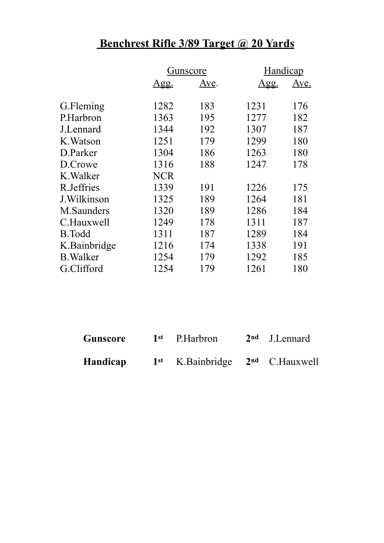# **Benchrest Rifle 3/89 Target @ 20 Yards**

|                  | Gunscore    |      | Handicap    |      |
|------------------|-------------|------|-------------|------|
|                  | <u>Agg.</u> | Ave. | <u>Agg.</u> | Ave. |
| G.Fleming        | 1282        | 183  | 1231        | 176  |
| P.Harbron        | 1363        | 195  | 1277        | 182  |
| J.Lennard        | 1344        | 192  | 1307        | 187  |
| K. Watson        | 1251        | 179  | 1299        | 180  |
| D.Parker         | 1304        | 186  | 1263        | 180  |
| D.Crowe          | 1316        | 188  | 1247        | 178  |
| K. Walker        | <b>NCR</b>  |      |             |      |
| R.Jeffries       | 1339        | 191  | 1226        | 175  |
| J. Wilkinson     | 1325        | 189  | 1264        | 181  |
| M.Saunders       | 1320        | 189  | 1286        | 184  |
| C.Hauxwell       | 1249        | 178  | 1311        | 187  |
| <b>B.Todd</b>    | 1311        | 187  | 1289        | 184  |
| K.Bainbridge     | 1216        | 174  | 1338        | 191  |
| <b>B.</b> Walker | 1254        | 179  | 1292        | 185  |
| G.Clifford       | 1254        | 179  | 1261        | 180  |

| Gunscore | 1 <sup>st</sup> P.Harbron             | 2 <sup>nd</sup> J.Lennard |
|----------|---------------------------------------|---------------------------|
| Handicap | $1st$ K. Bainbridge $2nd$ C. Hauxwell |                           |